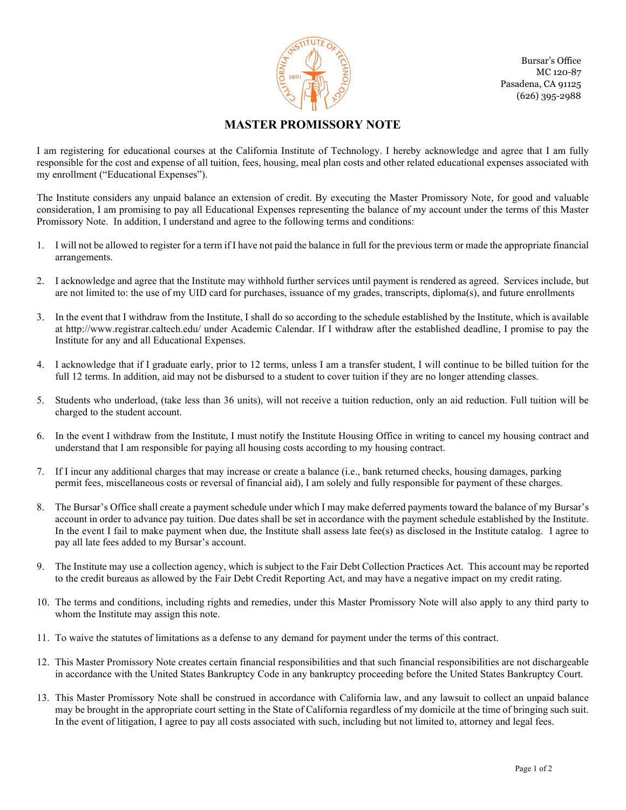

 Pasadena, CA 91125 Bursar's Office MC 120-87 (626) 395-2988

## **MASTER PROMISSORY NOTE**

I am registering for educational courses at the California Institute of Technology. I hereby acknowledge and agree that I am fully responsible for the cost and expense of all tuition, fees, housing, meal plan costs and other related educational expenses associated with my enrollment ("Educational Expenses").

The Institute considers any unpaid balance an extension of credit. By executing the Master Promissory Note, for good and valuable consideration, I am promising to pay all Educational Expenses representing the balance of my account under the terms of this Master Promissory Note. In addition, I understand and agree to the following terms and conditions:

- 1. I will not be allowed to register for a term if I have not paid the balance in full for the previous term or made the appropriate financial arrangements.
- 2. I acknowledge and agree that the Institute may withhold further services until payment is rendered as agreed. Services include, but are not limited to: the use of my UID card for purchases, issuance of my grades, transcripts, diploma(s), and future enrollments
- 3. In the event that I withdraw from the Institute, I shall do so according to the schedule established by the Institute, which is available at http://www.registrar.caltech.edu/ under Academic Calendar. If I withdraw after the established deadline, I promise to pay the Institute for any and all Educational Expenses.
- 4. I acknowledge that if I graduate early, prior to 12 terms, unless I am a transfer student, I will continue to be billed tuition for the full 12 terms. In addition, aid may not be disbursed to a student to cover tuition if they are no longer attending classes.
- 5. Students who underload, (take less than 36 units), will not receive a tuition reduction, only an aid reduction. Full tuition will be charged to the student account.
- 6. In the event I withdraw from the Institute, I must notify the Institute Housing Office in writing to cancel my housing contract and understand that I am responsible for paying all housing costs according to my housing contract.
- 7. If I incur any additional charges that may increase or create a balance (i.e., bank returned checks, housing damages, parking permit fees, miscellaneous costs or reversal of financial aid), I am solely and fully responsible for payment of these charges.
- 8. The Bursar's Office shall create a payment schedule under which I may make deferred payments toward the balance of my Bursar's account in order to advance pay tuition. Due dates shall be set in accordance with the payment schedule established by the Institute. In the event I fail to make payment when due, the Institute shall assess late fee(s) as disclosed in the Institute catalog. I agree to pay all late fees added to my Bursar's account.
- 9. The Institute may use a collection agency, which is subject to the Fair Debt Collection Practices Act. This account may be reported to the credit bureaus as allowed by the Fair Debt Credit Reporting Act, and may have a negative impact on my credit rating.
- 10. The terms and conditions, including rights and remedies, under this Master Promissory Note will also apply to any third party to whom the Institute may assign this note.
- 11. To waive the statutes of limitations as a defense to any demand for payment under the terms of this contract.
- 12. This Master Promissory Note creates certain financial responsibilities and that such financial responsibilities are not dischargeable in accordance with the United States Bankruptcy Code in any bankruptcy proceeding before the United States Bankruptcy Court.
- 13. This Master Promissory Note shall be construed in accordance with California law, and any lawsuit to collect an unpaid balance may be brought in the appropriate court setting in the State of California regardless of my domicile at the time of bringing such suit. In the event of litigation, I agree to pay all costs associated with such, including but not limited to, attorney and legal fees.